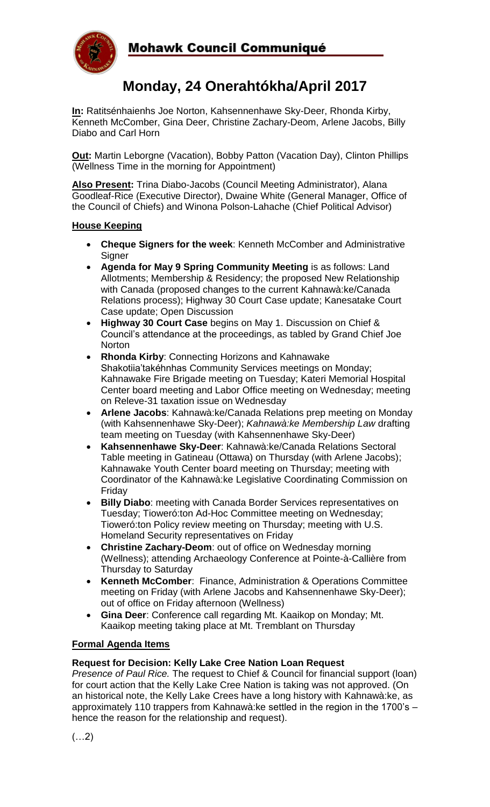

# **Monday, 24 Onerahtókha/April 2017**

**In:** Ratitsénhaienhs Joe Norton, Kahsennenhawe Sky-Deer, Rhonda Kirby, Kenneth McComber, Gina Deer, Christine Zachary-Deom, Arlene Jacobs, Billy Diabo and Carl Horn

**Out:** Martin Leborgne (Vacation), Bobby Patton (Vacation Day), Clinton Phillips (Wellness Time in the morning for Appointment)

**Also Present:** Trina Diabo-Jacobs (Council Meeting Administrator), Alana Goodleaf-Rice (Executive Director), Dwaine White (General Manager, Office of the Council of Chiefs) and Winona Polson-Lahache (Chief Political Advisor)

#### **House Keeping**

- **Cheque Signers for the week**: Kenneth McComber and Administrative Signer
- **Agenda for May 9 Spring Community Meeting** is as follows: Land Allotments; Membership & Residency; the proposed New Relationship with Canada (proposed changes to the current Kahnawà:ke/Canada Relations process); Highway 30 Court Case update; Kanesatake Court Case update; Open Discussion
- **Highway 30 Court Case** begins on May 1. Discussion on Chief & Council's attendance at the proceedings, as tabled by Grand Chief Joe **Norton**
- **Rhonda Kirby**: Connecting Horizons and Kahnawake Shakotiia'takéhnhas Community Services meetings on Monday; Kahnawake Fire Brigade meeting on Tuesday; Kateri Memorial Hospital Center board meeting and Labor Office meeting on Wednesday; meeting on Releve-31 taxation issue on Wednesday
- **Arlene Jacobs**: Kahnawà:ke/Canada Relations prep meeting on Monday (with Kahsennenhawe Sky-Deer); *Kahnawà:ke Membership Law* drafting team meeting on Tuesday (with Kahsennenhawe Sky-Deer)
- **Kahsennenhawe Sky-Deer**: Kahnawà:ke/Canada Relations Sectoral Table meeting in Gatineau (Ottawa) on Thursday (with Arlene Jacobs); Kahnawake Youth Center board meeting on Thursday; meeting with Coordinator of the Kahnawà:ke Legislative Coordinating Commission on Friday
- **Billy Diabo**: meeting with Canada Border Services representatives on Tuesday; Tioweró:ton Ad-Hoc Committee meeting on Wednesday; Tioweró:ton Policy review meeting on Thursday; meeting with U.S. Homeland Security representatives on Friday
- **Christine Zachary-Deom**: out of office on Wednesday morning (Wellness); attending Archaeology Conference at Pointe-à-Callière from Thursday to Saturday
- **Kenneth McComber**: Finance, Administration & Operations Committee meeting on Friday (with Arlene Jacobs and Kahsennenhawe Sky-Deer); out of office on Friday afternoon (Wellness)
- **Gina Deer**: Conference call regarding Mt. Kaaikop on Monday; Mt. Kaaikop meeting taking place at Mt. Tremblant on Thursday

## **Formal Agenda Items**

## **Request for Decision: Kelly Lake Cree Nation Loan Request**

*Presence of Paul Rice.* The request to Chief & Council for financial support (loan) for court action that the Kelly Lake Cree Nation is taking was not approved. (On an historical note, the Kelly Lake Crees have a long history with Kahnawà:ke, as approximately 110 trappers from Kahnawà:ke settled in the region in the 1700's – hence the reason for the relationship and request).